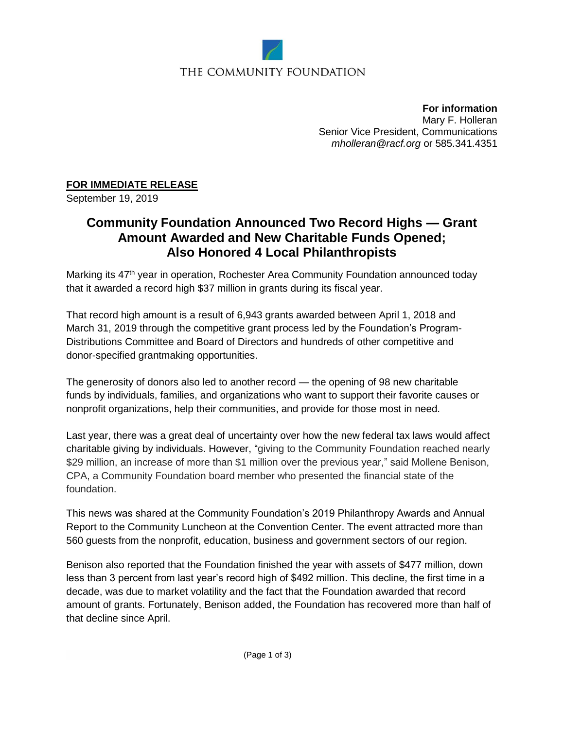

## THE COMMUNITY FOUNDATION

**For information** Mary F. Holleran Senior Vice President, Communications *[mholleran@racf.org](mailto:mholleran@racf.org)* or 585.341.4351

## **FOR IMMEDIATE RELEASE**

September 19, 2019

# **Community Foundation Announced Two Record Highs — Grant Amount Awarded and New Charitable Funds Opened; Also Honored 4 Local Philanthropists**

Marking its 47<sup>th</sup> year in operation, Rochester Area Community Foundation announced today that it awarded a record high \$37 million in grants during its fiscal year.

That record high amount is a result of 6,943 grants awarded between April 1, 2018 and March 31, 2019 through the competitive grant process led by the Foundation's Program-Distributions Committee and Board of Directors and hundreds of other competitive and donor-specified grantmaking opportunities.

The generosity of donors also led to another record — the opening of 98 new charitable funds by individuals, families, and organizations who want to support their favorite causes or nonprofit organizations, help their communities, and provide for those most in need.

Last year, there was a great deal of uncertainty over how the new federal tax laws would affect charitable giving by individuals. However, "giving to the Community Foundation reached nearly \$29 million, an increase of more than \$1 million over the previous year," said Mollene Benison, CPA, a Community Foundation board member who presented the financial state of the foundation.

This news was shared at the Community Foundation's 2019 Philanthropy Awards and Annual Report to the Community Luncheon at the Convention Center. The event attracted more than 560 guests from the nonprofit, education, business and government sectors of our region.

Benison also reported that the Foundation finished the year with assets of \$477 million, down less than 3 percent from last year's record high of \$492 million. This decline, the first time in a decade, was due to market volatility and the fact that the Foundation awarded that record amount of grants. Fortunately, Benison added, the Foundation has recovered more than half of that decline since April.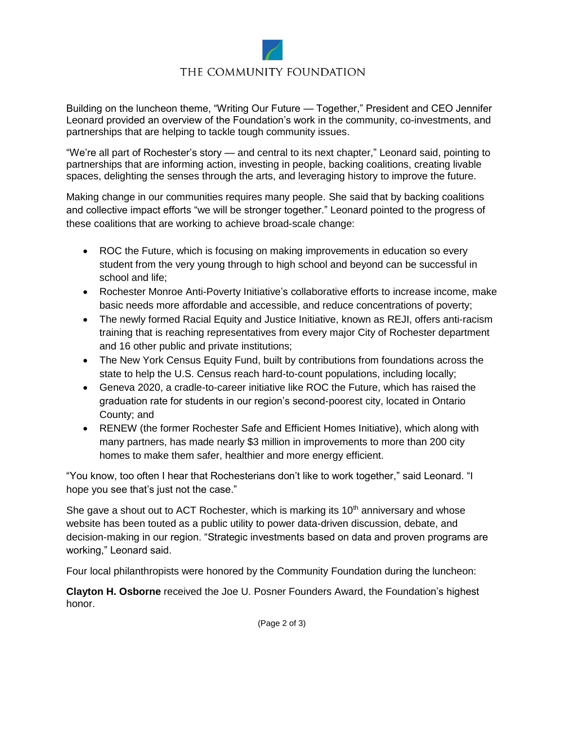

### THE COMMUNITY FOUNDATION

Building on the luncheon theme, "Writing Our Future — Together," President and CEO Jennifer Leonard provided an overview of the Foundation's work in the community, co-investments, and partnerships that are helping to tackle tough community issues.

"We're all part of Rochester's story — and central to its next chapter," Leonard said, pointing to partnerships that are informing action, investing in people, backing coalitions, creating livable spaces, delighting the senses through the arts, and leveraging history to improve the future.

Making change in our communities requires many people. She said that by backing coalitions and collective impact efforts "we will be stronger together." Leonard pointed to the progress of these coalitions that are working to achieve broad-scale change:

- ROC the Future, which is focusing on making improvements in education so every student from the very young through to high school and beyond can be successful in school and life;
- Rochester Monroe Anti-Poverty Initiative's collaborative efforts to increase income, make basic needs more affordable and accessible, and reduce concentrations of poverty;
- The newly formed Racial Equity and Justice Initiative, known as REJI, offers anti-racism training that is reaching representatives from every major City of Rochester department and 16 other public and private institutions;
- The New York Census Equity Fund, built by contributions from foundations across the state to help the U.S. Census reach hard-to-count populations, including locally;
- Geneva 2020, a cradle-to-career initiative like ROC the Future, which has raised the graduation rate for students in our region's second-poorest city, located in Ontario County; and
- RENEW (the former Rochester Safe and Efficient Homes Initiative), which along with many partners, has made nearly \$3 million in improvements to more than 200 city homes to make them safer, healthier and more energy efficient.

"You know, too often I hear that Rochesterians don't like to work together," said Leonard. "I hope you see that's just not the case."

She gave a shout out to ACT Rochester, which is marking its  $10<sup>th</sup>$  anniversary and whose website has been touted as a public utility to power data-driven discussion, debate, and decision-making in our region. "Strategic investments based on data and proven programs are working," Leonard said.

Four local philanthropists were honored by the Community Foundation during the luncheon:

**Clayton H. Osborne** received the Joe U. Posner Founders Award, the Foundation's highest honor.